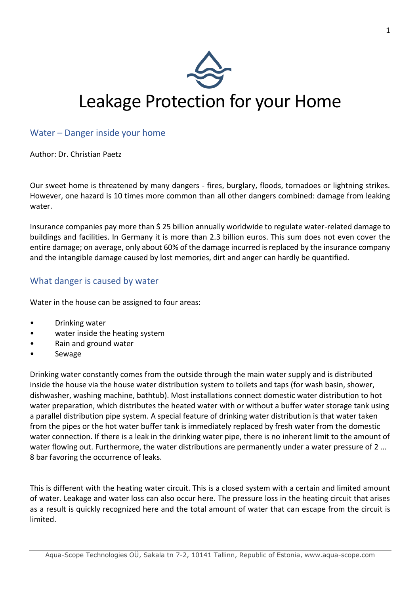

### Water – Danger inside your home

Author: Dr. Christian Paetz

Our sweet home is threatened by many dangers - fires, burglary, floods, tornadoes or lightning strikes. However, one hazard is 10 times more common than all other dangers combined: damage from leaking water.

Insurance companies pay more than \$ 25 billion annually worldwide to regulate water-related damage to buildings and facilities. In Germany it is more than 2.3 billion euros. This sum does not even cover the entire damage; on average, only about 60% of the damage incurred is replaced by the insurance company and the intangible damage caused by lost memories, dirt and anger can hardly be quantified.

#### What danger is caused by water

Water in the house can be assigned to four areas:

- Drinking water
- water inside the heating system
- Rain and ground water
- Sewage

Drinking water constantly comes from the outside through the main water supply and is distributed inside the house via the house water distribution system to toilets and taps (for wash basin, shower, dishwasher, washing machine, bathtub). Most installations connect domestic water distribution to hot water preparation, which distributes the heated water with or without a buffer water storage tank using a parallel distribution pipe system. A special feature of drinking water distribution is that water taken from the pipes or the hot water buffer tank is immediately replaced by fresh water from the domestic water connection. If there is a leak in the drinking water pipe, there is no inherent limit to the amount of water flowing out. Furthermore, the water distributions are permanently under a water pressure of 2 ... 8 bar favoring the occurrence of leaks.

This is different with the heating water circuit. This is a closed system with a certain and limited amount of water. Leakage and water loss can also occur here. The pressure loss in the heating circuit that arises as a result is quickly recognized here and the total amount of water that can escape from the circuit is limited.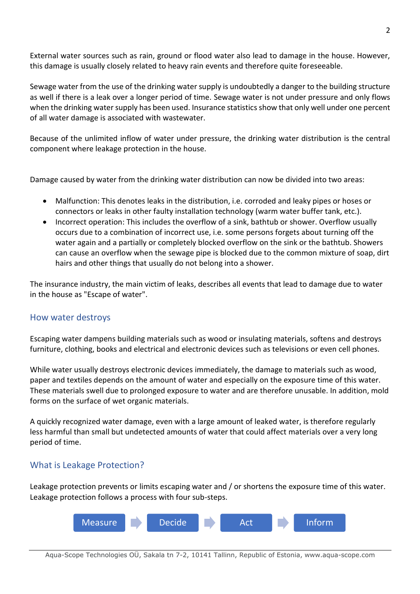External water sources such as rain, ground or flood water also lead to damage in the house. However, this damage is usually closely related to heavy rain events and therefore quite foreseeable.

Sewage water from the use of the drinking water supply is undoubtedly a danger to the building structure as well if there is a leak over a longer period of time. Sewage water is not under pressure and only flows when the drinking water supply has been used. Insurance statistics show that only well under one percent of all water damage is associated with wastewater.

Because of the unlimited inflow of water under pressure, the drinking water distribution is the central component where leakage protection in the house.

Damage caused by water from the drinking water distribution can now be divided into two areas:

- Malfunction: This denotes leaks in the distribution, i.e. corroded and leaky pipes or hoses or connectors or leaks in other faulty installation technology (warm water buffer tank, etc.).
- Incorrect operation: This includes the overflow of a sink, bathtub or shower. Overflow usually occurs due to a combination of incorrect use, i.e. some persons forgets about turning off the water again and a partially or completely blocked overflow on the sink or the bathtub. Showers can cause an overflow when the sewage pipe is blocked due to the common mixture of soap, dirt hairs and other things that usually do not belong into a shower.

The insurance industry, the main victim of leaks, describes all events that lead to damage due to water in the house as "Escape of water".

### How water destroys

Escaping water dampens building materials such as wood or insulating materials, softens and destroys furniture, clothing, books and electrical and electronic devices such as televisions or even cell phones.

While water usually destroys electronic devices immediately, the damage to materials such as wood, paper and textiles depends on the amount of water and especially on the exposure time of this water. These materials swell due to prolonged exposure to water and are therefore unusable. In addition, mold forms on the surface of wet organic materials.

A quickly recognized water damage, even with a large amount of leaked water, is therefore regularly less harmful than small but undetected amounts of water that could affect materials over a very long period of time.

### What is Leakage Protection?

Leakage protection prevents or limits escaping water and / or shortens the exposure time of this water. Leakage protection follows a process with four sub-steps.

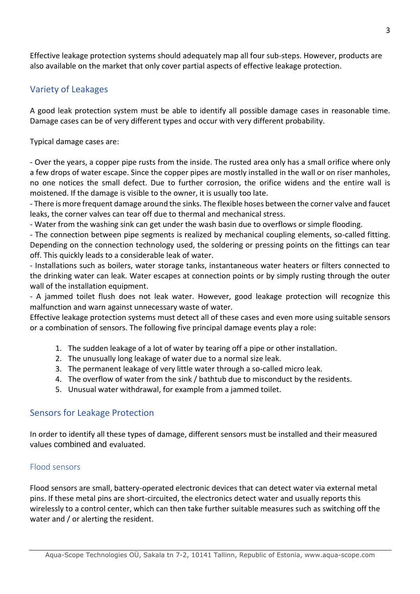Effective leakage protection systems should adequately map all four sub-steps. However, products are also available on the market that only cover partial aspects of effective leakage protection.

## Variety of Leakages

A good leak protection system must be able to identify all possible damage cases in reasonable time. Damage cases can be of very different types and occur with very different probability.

Typical damage cases are:

- Over the years, a copper pipe rusts from the inside. The rusted area only has a small orifice where only a few drops of water escape. Since the copper pipes are mostly installed in the wall or on riser manholes, no one notices the small defect. Due to further corrosion, the orifice widens and the entire wall is moistened. If the damage is visible to the owner, it is usually too late.

- There is more frequent damage around the sinks. The flexible hoses between the corner valve and faucet leaks, the corner valves can tear off due to thermal and mechanical stress.

- Water from the washing sink can get under the wash basin due to overflows or simple flooding.

- The connection between pipe segments is realized by mechanical coupling elements, so-called fitting. Depending on the connection technology used, the soldering or pressing points on the fittings can tear off. This quickly leads to a considerable leak of water.

- Installations such as boilers, water storage tanks, instantaneous water heaters or filters connected to the drinking water can leak. Water escapes at connection points or by simply rusting through the outer wall of the installation equipment.

- A jammed toilet flush does not leak water. However, good leakage protection will recognize this malfunction and warn against unnecessary waste of water.

Effective leakage protection systems must detect all of these cases and even more using suitable sensors or a combination of sensors. The following five principal damage events play a role:

- 1. The sudden leakage of a lot of water by tearing off a pipe or other installation.
- 2. The unusually long leakage of water due to a normal size leak.
- 3. The permanent leakage of very little water through a so-called micro leak.
- 4. The overflow of water from the sink / bathtub due to misconduct by the residents.
- 5. Unusual water withdrawal, for example from a jammed toilet.

#### Sensors for Leakage Protection

In order to identify all these types of damage, different sensors must be installed and their measured values combined and evaluated.

#### Flood sensors

Flood sensors are small, battery-operated electronic devices that can detect water via external metal pins. If these metal pins are short-circuited, the electronics detect water and usually reports this wirelessly to a control center, which can then take further suitable measures such as switching off the water and / or alerting the resident.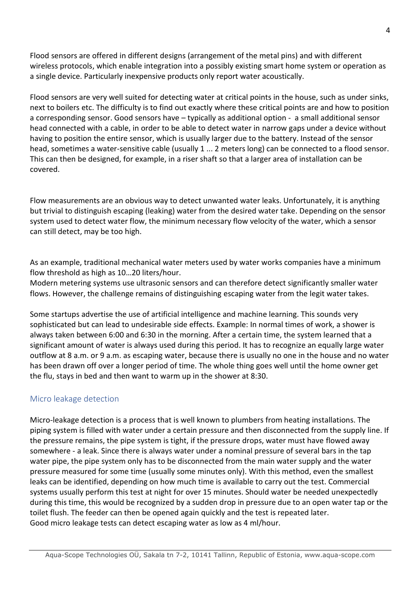Flood sensors are offered in different designs (arrangement of the metal pins) and with different wireless protocols, which enable integration into a possibly existing smart home system or operation as a single device. Particularly inexpensive products only report water acoustically.

Flood sensors are very well suited for detecting water at critical points in the house, such as under sinks, next to boilers etc. The difficulty is to find out exactly where these critical points are and how to position a corresponding sensor. Good sensors have – typically as additional option - a small additional sensor head connected with a cable, in order to be able to detect water in narrow gaps under a device without having to position the entire sensor, which is usually larger due to the battery. Instead of the sensor head, sometimes a water-sensitive cable (usually 1 ... 2 meters long) can be connected to a flood sensor. This can then be designed, for example, in a riser shaft so that a larger area of installation can be covered.

Flow measurements are an obvious way to detect unwanted water leaks. Unfortunately, it is anything but trivial to distinguish escaping (leaking) water from the desired water take. Depending on the sensor system used to detect water flow, the minimum necessary flow velocity of the water, which a sensor can still detect, may be too high.

As an example, traditional mechanical water meters used by water works companies have a minimum flow threshold as high as 10…20 liters/hour.

Modern metering systems use ultrasonic sensors and can therefore detect significantly smaller water flows. However, the challenge remains of distinguishing escaping water from the legit water takes.

Some startups advertise the use of artificial intelligence and machine learning. This sounds very sophisticated but can lead to undesirable side effects. Example: In normal times of work, a shower is always taken between 6:00 and 6:30 in the morning. After a certain time, the system learned that a significant amount of water is always used during this period. It has to recognize an equally large water outflow at 8 a.m. or 9 a.m. as escaping water, because there is usually no one in the house and no water has been drawn off over a longer period of time. The whole thing goes well until the home owner get the flu, stays in bed and then want to warm up in the shower at 8:30.

### Micro leakage detection

Micro-leakage detection is a process that is well known to plumbers from heating installations. The piping system is filled with water under a certain pressure and then disconnected from the supply line. If the pressure remains, the pipe system is tight, if the pressure drops, water must have flowed away somewhere - a leak. Since there is always water under a nominal pressure of several bars in the tap water pipe, the pipe system only has to be disconnected from the main water supply and the water pressure measured for some time (usually some minutes only). With this method, even the smallest leaks can be identified, depending on how much time is available to carry out the test. Commercial systems usually perform this test at night for over 15 minutes. Should water be needed unexpectedly during this time, this would be recognized by a sudden drop in pressure due to an open water tap or the toilet flush. The feeder can then be opened again quickly and the test is repeated later. Good micro leakage tests can detect escaping water as low as 4 ml/hour.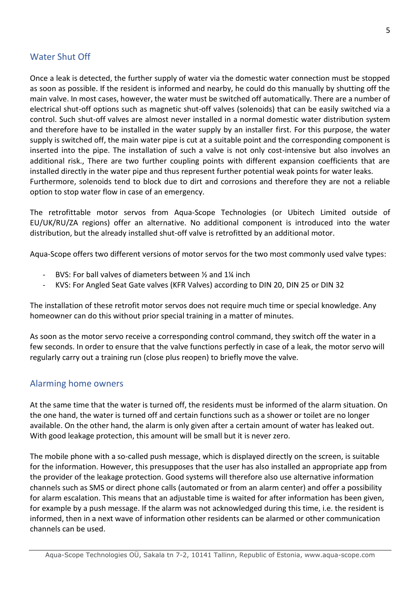# Water Shut Off

Once a leak is detected, the further supply of water via the domestic water connection must be stopped as soon as possible. If the resident is informed and nearby, he could do this manually by shutting off the main valve. In most cases, however, the water must be switched off automatically. There are a number of electrical shut-off options such as magnetic shut-off valves (solenoids) that can be easily switched via a control. Such shut-off valves are almost never installed in a normal domestic water distribution system and therefore have to be installed in the water supply by an installer first. For this purpose, the water supply is switched off, the main water pipe is cut at a suitable point and the corresponding component is inserted into the pipe. The installation of such a valve is not only cost-intensive but also involves an additional risk., There are two further coupling points with different expansion coefficients that are installed directly in the water pipe and thus represent further potential weak points for water leaks. Furthermore, solenoids tend to block due to dirt and corrosions and therefore they are not a reliable option to stop water flow in case of an emergency.

The retrofittable motor servos from Aqua-Scope Technologies (or Ubitech Limited outside of EU/UK/RU/ZA regions) offer an alternative. No additional component is introduced into the water distribution, but the already installed shut-off valve is retrofitted by an additional motor.

Aqua-Scope offers two different versions of motor servos for the two most commonly used valve types:

- BVS: For ball valves of diameters between  $\frac{1}{2}$  and 1% inch
- KVS: For Angled Seat Gate valves (KFR Valves) according to DIN 20, DIN 25 or DIN 32

The installation of these retrofit motor servos does not require much time or special knowledge. Any homeowner can do this without prior special training in a matter of minutes.

As soon as the motor servo receive a corresponding control command, they switch off the water in a few seconds. In order to ensure that the valve functions perfectly in case of a leak, the motor servo will regularly carry out a training run (close plus reopen) to briefly move the valve.

#### Alarming home owners

At the same time that the water is turned off, the residents must be informed of the alarm situation. On the one hand, the water is turned off and certain functions such as a shower or toilet are no longer available. On the other hand, the alarm is only given after a certain amount of water has leaked out. With good leakage protection, this amount will be small but it is never zero.

The mobile phone with a so-called push message, which is displayed directly on the screen, is suitable for the information. However, this presupposes that the user has also installed an appropriate app from the provider of the leakage protection. Good systems will therefore also use alternative information channels such as SMS or direct phone calls (automated or from an alarm center) and offer a possibility for alarm escalation. This means that an adjustable time is waited for after information has been given, for example by a push message. If the alarm was not acknowledged during this time, i.e. the resident is informed, then in a next wave of information other residents can be alarmed or other communication channels can be used.